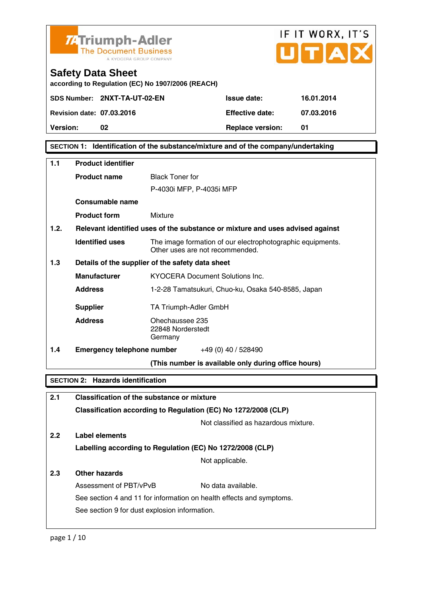

**according to Regulation (EC) No 1907/2006 (REACH)** 

| Version:                         | 02                           | <b>Replace version:</b> |            |
|----------------------------------|------------------------------|-------------------------|------------|
| <b>Revision date: 07.03.2016</b> |                              | <b>Effective date:</b>  | 07.03.2016 |
|                                  | SDS Number: 2NXT-TA-UT-02-EN | <b>Issue date:</b>      | 16.01.2014 |

IF IT WORX, IT'S

ПТА

**SECTION 1: Identification of the substance/mixture and of the company/undertaking** 

| 1.1  | <b>Product identifier</b>                  |                                                                                               |  |
|------|--------------------------------------------|-----------------------------------------------------------------------------------------------|--|
|      | <b>Product name</b>                        | <b>Black Toner for</b>                                                                        |  |
|      |                                            | P-4030i MFP, P-4035i MFP                                                                      |  |
|      | Consumable name                            |                                                                                               |  |
|      | <b>Product form</b>                        | Mixture                                                                                       |  |
| 1.2. |                                            | Relevant identified uses of the substance or mixture and uses advised against                 |  |
|      | <b>Identified uses</b>                     | The image formation of our electrophotographic equipments.<br>Other uses are not recommended. |  |
| 1.3  |                                            | Details of the supplier of the safety data sheet                                              |  |
|      | <b>Manufacturer</b>                        | <b>KYOCERA Document Solutions Inc.</b>                                                        |  |
|      | <b>Address</b>                             | 1-2-28 Tamatsukuri, Chuo-ku, Osaka 540-8585, Japan                                            |  |
|      | <b>Supplier</b>                            | TA Triumph-Adler GmbH                                                                         |  |
|      | <b>Address</b>                             | Ohechaussee 235<br>22848 Norderstedt<br>Germany                                               |  |
| 1.4  |                                            | <b>Emergency telephone number</b> $+49(0)40/528490$                                           |  |
|      |                                            | (This number is available only during office hours)                                           |  |
|      | <b>SECTION 2: Hazards identification</b>   |                                                                                               |  |
| 2.1  | Classification of the substance or mixture |                                                                                               |  |
|      |                                            | Classification according to Regulation (EC) No 1272/2008 (CLP)                                |  |
|      | Not classified as hazardous mixture.       |                                                                                               |  |
|      |                                            |                                                                                               |  |

**2.2 Label elements** 

**Labelling according to Regulation (EC) No 1272/2008 (CLP)**

Not applicable.

# **2.3 Other hazards**

Assessment of PBT/vPvB No data available. See section 4 and 11 for information on health effects and symptoms. See section 9 for dust explosion information.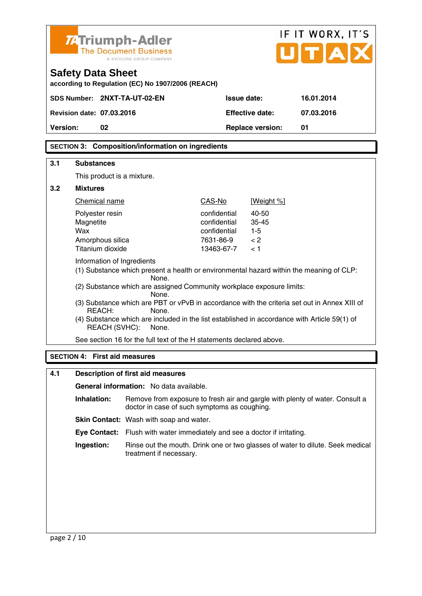|                                                                                                                 | 7. Triumph-Adler<br><b>Safety Data Sheet</b>                                                                                                                                                            | <b>The Document Business</b><br>A KYOCERA GROUP COMPANY<br>according to Regulation (EC) No 1907/2006 (REACH) |                           |                         | IF IT WORX, IT'S<br>UITA                                                     |
|-----------------------------------------------------------------------------------------------------------------|---------------------------------------------------------------------------------------------------------------------------------------------------------------------------------------------------------|--------------------------------------------------------------------------------------------------------------|---------------------------|-------------------------|------------------------------------------------------------------------------|
|                                                                                                                 | SDS Number: 2NXT-TA-UT-02-EN                                                                                                                                                                            |                                                                                                              | Issue date:               |                         | 16.01.2014                                                                   |
|                                                                                                                 | <b>Revision date: 07.03.2016</b>                                                                                                                                                                        |                                                                                                              |                           | <b>Effective date:</b>  | 07.03.2016                                                                   |
| Version:                                                                                                        | 02                                                                                                                                                                                                      |                                                                                                              |                           | <b>Replace version:</b> | 01                                                                           |
|                                                                                                                 |                                                                                                                                                                                                         | <b>SECTION 3: Composition/information on ingredients</b>                                                     |                           |                         |                                                                              |
| 3.1                                                                                                             | <b>Substances</b>                                                                                                                                                                                       |                                                                                                              |                           |                         |                                                                              |
|                                                                                                                 | This product is a mixture.                                                                                                                                                                              |                                                                                                              |                           |                         |                                                                              |
| 3.2                                                                                                             | <b>Mixtures</b>                                                                                                                                                                                         |                                                                                                              |                           |                         |                                                                              |
|                                                                                                                 | Chemical name                                                                                                                                                                                           |                                                                                                              | CAS-No                    | [Weight %]              |                                                                              |
|                                                                                                                 | Polyester resin                                                                                                                                                                                         |                                                                                                              | confidential              | 40-50                   |                                                                              |
|                                                                                                                 | Magnetite                                                                                                                                                                                               |                                                                                                              | confidential              | 35-45                   |                                                                              |
|                                                                                                                 | Wax<br>Amorphous silica                                                                                                                                                                                 |                                                                                                              | confidential<br>7631-86-9 | $1 - 5$<br>< 2          |                                                                              |
|                                                                                                                 | Titanium dioxide                                                                                                                                                                                        |                                                                                                              | 13463-67-7                | < 1                     |                                                                              |
|                                                                                                                 | Information of Ingredients<br>(1) Substance which present a health or environmental hazard within the meaning of CLP:<br>None.<br>(2) Substance which are assigned Community workplace exposure limits: |                                                                                                              |                           |                         |                                                                              |
|                                                                                                                 |                                                                                                                                                                                                         | None.                                                                                                        |                           |                         |                                                                              |
| (3) Substance which are PBT or vPvB in accordance with the criteria set out in Annex XIII of<br>REACH:<br>None. |                                                                                                                                                                                                         |                                                                                                              |                           |                         |                                                                              |
|                                                                                                                 | (4) Substance which are included in the list established in accordance with Article 59(1) of<br><b>REACH (SVHC):</b><br>None.                                                                           |                                                                                                              |                           |                         |                                                                              |
|                                                                                                                 |                                                                                                                                                                                                         | See section 16 for the full text of the H statements declared above.                                         |                           |                         |                                                                              |
| <b>SECTION 4: First aid measures</b>                                                                            |                                                                                                                                                                                                         |                                                                                                              |                           |                         |                                                                              |
| 4.1                                                                                                             |                                                                                                                                                                                                         | <b>Description of first aid measures</b>                                                                     |                           |                         |                                                                              |
|                                                                                                                 |                                                                                                                                                                                                         | General information: No data available.                                                                      |                           |                         |                                                                              |
|                                                                                                                 | Inhalation:                                                                                                                                                                                             | doctor in case of such symptoms as coughing.                                                                 |                           |                         | Remove from exposure to fresh air and gargle with plenty of water. Consult a |
|                                                                                                                 |                                                                                                                                                                                                         | Skin Contact: Wash with soap and water.                                                                      |                           |                         |                                                                              |
|                                                                                                                 |                                                                                                                                                                                                         |                                                                                                              |                           |                         |                                                                              |

 **Eye Contact:** Flush with water immediately and see a doctor if irritating.

**Ingestion:** Rinse out the mouth. Drink one or two glasses of water to dilute. Seek medical treatment if necessary.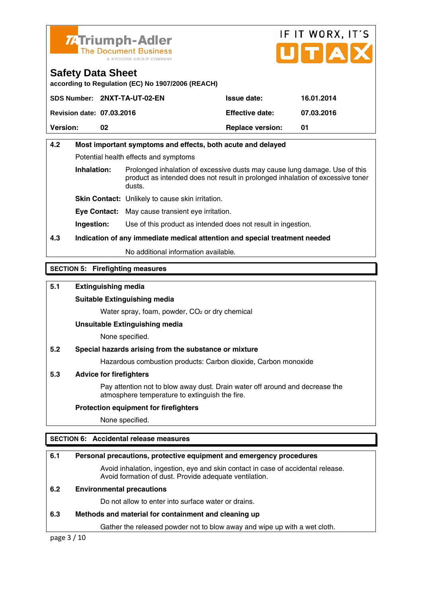

# IF IT WORX, IT'S ПТА

# **Safety Data Sheet**

**according to Regulation (EC) No 1907/2006 (REACH)** 

|                                  | SDS Number: 2NXT-TA-UT-02-EN | <b>Issue date:</b>      | 16.01.2014 |
|----------------------------------|------------------------------|-------------------------|------------|
| <b>Revision date: 07.03.2016</b> |                              | <b>Effective date:</b>  | 07.03.2016 |
| <b>Version:</b>                  | 02                           | <b>Replace version:</b> |            |

# **4.2 Most important symptoms and effects, both acute and delayed**  Potential health effects and symptoms **Inhalation:** Prolonged inhalation of excessive dusts may cause lung damage. Use of this

 product as intended does not result in prolonged inhalation of excessive toner dusts.

**Skin Contact:** Unlikely to cause skin irritation.

**Eye Contact:** May cause transient eye irritation.

**Ingestion:** Use of this product as intended does not result in ingestion.

# **4.3 Indication of any immediate medical attention and special treatment needed**

No additional information available.

# **SECTION 5: Firefighting measures**

# **5.1 Extinguishing media**

## **Suitable Extinguishing media**

Water spray, foam, powder, CO<sub>2</sub> or dry chemical

### **Unsuitable Extinguishing media**

None specified.

# **5.2 Special hazards arising from the substance or mixture**

Hazardous combustion products: Carbon dioxide, Carbon monoxide

### **5.3 Advice for firefighters**

 Pay attention not to blow away dust. Drain water off around and decrease the atmosphere temperature to extinguish the fire.

### **Protection equipment for firefighters**

None specified.

# **SECTION 6: Accidental release measures**

# **6.1 Personal precautions, protective equipment and emergency procedures**

 Avoid inhalation, ingestion, eye and skin contact in case of accidental release. Avoid formation of dust. Provide adequate ventilation.

### **6.2 Environmental precautions**

Do not allow to enter into surface water or drains.

# **6.3 Methods and material for containment and cleaning up**

Gather the released powder not to blow away and wipe up with a wet cloth.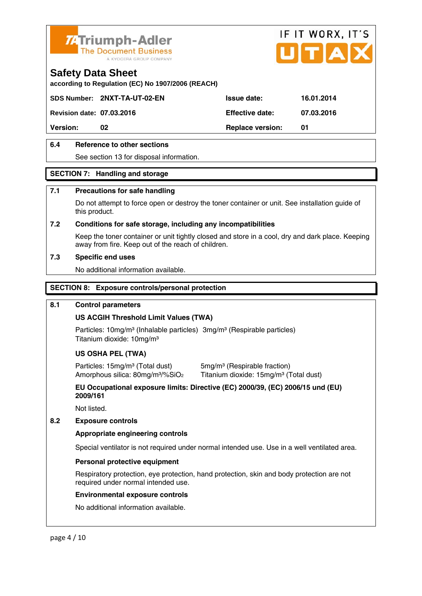

**according to Regulation (EC) No 1907/2006 (REACH)** 

**SDS Number: 2NXT-TA-UT-02-EN Issue date: 16.01.2014** 

**Revision date: 07.03.2016 Effective date: 07.03.2016** 

**Version:** 02 **Details CONFING PREPARE VERSION: 01 Replace version: 01** 

# **6.4 Reference to other sections**

See section 13 for disposal information.

# **SECTION 7: Handling and storage**

# **7.1 Precautions for safe handling**

 Do not attempt to force open or destroy the toner container or unit. See installation guide of this product.

# **7.2 Conditions for safe storage, including any incompatibilities**

Keep the toner container or unit tightly closed and store in a cool, dry and dark place. Keeping away from fire. Keep out of the reach of children.

# **7.3 Specific end uses**

No additional information available.

# **SECTION 8: Exposure controls/personal protection**

### **8.1 Control parameters**

# **US ACGIH Threshold Limit Values (TWA)**

Particles: 10mg/m<sup>3</sup> (Inhalable particles) 3mg/m<sup>3</sup> (Respirable particles) Titanium dioxide: 10mg/m³

# **US OSHA PEL (TWA)**

Particles: 15mg/m<sup>3</sup> (Total dust) 5mg/m<sup>3</sup> (Respirable fraction)

Amorphous silica: 80mg/m<sup>3</sup>/%SiO<sub>2</sub> Titanium dioxide: 15mg/m<sup>3</sup> (Total dust)

IF IT WORX, IT'S

 **EU Occupational exposure limits: Directive (EC) 2000/39, (EC) 2006/15 und (EU) 2009/161** 

Not listed.

# **8.2 Exposure controls**

### **Appropriate engineering controls**

Special ventilator is not required under normal intended use. Use in a well ventilated area.

# **Personal protective equipment**

 Respiratory protection, eye protection, hand protection, skin and body protection are not required under normal intended use.

### **Environmental exposure controls**

No additional information available.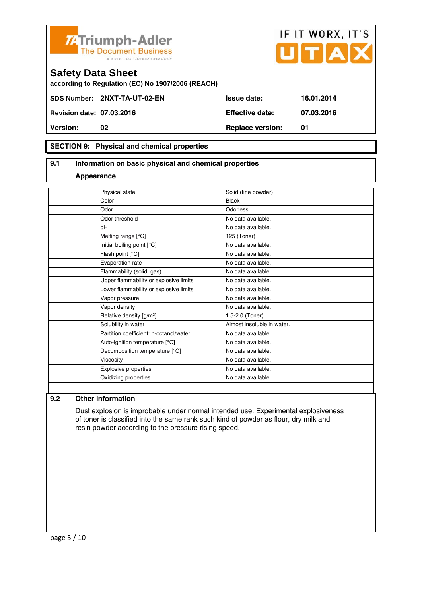



IF IT WORX, IT'S

# **SECTION 9: Physical and chemical properties**

## **9.1 Information on basic physical and chemical properties**

### **Appearance**

|           | Physical state                         | Solid (fine powder)        |
|-----------|----------------------------------------|----------------------------|
| Color     |                                        | <b>Black</b>               |
| Odor      |                                        | Odorless                   |
|           | Odor threshold                         | No data available.         |
| рH        |                                        | No data available.         |
|           | Melting range [°C]                     | 125 (Toner)                |
|           | Initial boiling point [°C]             | No data available.         |
|           | Flash point [°C]                       | No data available.         |
|           | Evaporation rate                       | No data available.         |
|           | Flammability (solid, gas)              | No data available.         |
|           | Upper flammability or explosive limits | No data available.         |
|           | Lower flammability or explosive limits | No data available.         |
|           | Vapor pressure                         | No data available.         |
|           | Vapor density                          | No data available.         |
|           | Relative density [g/m <sup>3</sup> ]   | 1.5-2.0 (Toner)            |
|           | Solubility in water                    | Almost insoluble in water. |
|           | Partition coefficient: n-octanol/water | No data available.         |
|           | Auto-ignition temperature [°C]         | No data available.         |
|           | Decomposition temperature [°C]         | No data available.         |
| Viscosity |                                        | No data available.         |
|           | <b>Explosive properties</b>            | No data available.         |
|           | Oxidizing properties                   | No data available.         |
|           |                                        |                            |

### **9.2 Other information**

 Dust explosion is improbable under normal intended use. Experimental explosiveness of toner is classified into the same rank such kind of powder as flour, dry milk and resin powder according to the pressure rising speed.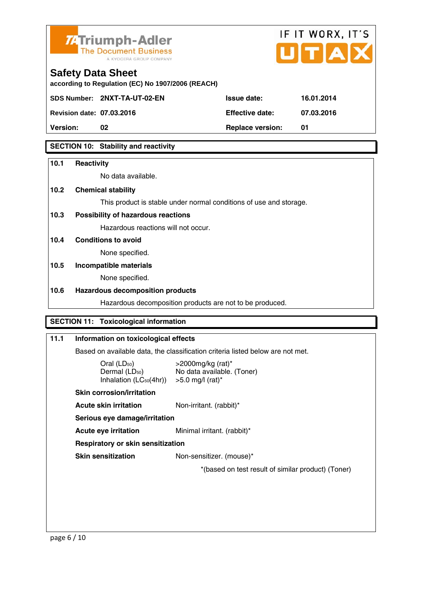

# IF IT WORX, IT'S

# **Safety Data Sheet**

**according to Regulation (EC) No 1907/2006 (REACH)** 

**SDS Number: 2NXT-TA-UT-02-EN Issue date: 16.01.2014** 

**Revision date: 07.03.2016 Effective date: 07.03.2016** 

**Version:** 02 **Details CONFING PREPARE VERSION: 01 Replace version: 01** 

# **SECTION 10: Stability and reactivity**

# **10.1 Reactivity**

No data available.

# **10.2 Chemical stability**

This product is stable under normal conditions of use and storage.

# **10.3 Possibility of hazardous reactions**

Hazardous reactions will not occur.

# **10.4 Conditions to avoid**

None specified.

# **10.5 Incompatible materials**

None specified.

# **10.6 Hazardous decomposition products**

Hazardous decomposition products are not to be produced.

# **SECTION 11: Toxicological information**

# **11.1 Information on toxicological effects**

Based on available data, the classification criteria listed below are not met.

| Oral (LD <sub>50</sub> )            |  |
|-------------------------------------|--|
| Dermal (LD <sub>50</sub> )          |  |
| Inhalation (LC <sub>50</sub> (4hr)) |  |

 $>$ 2000mg/kg (rat)\* No data available. (Toner)  $>5.0$  mg/l (rat)\*

 **Skin corrosion/irritation** 

**Acute skin irritation** Non-irritant. (rabbit)\*

 **Serious eye damage/irritation** 

**Acute eye irritation** Minimal irritant. (rabbit)\*

 **Respiratory or skin sensitization** 

**Skin sensitization** Non-sensitizer. (mouse)\*

\*(based on test result of similar product) (Toner)

page 6 / 10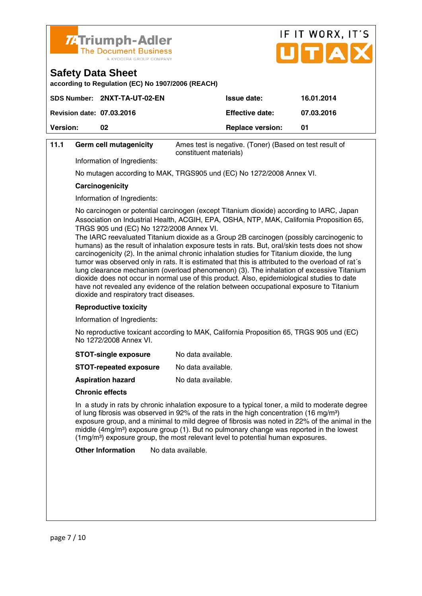

**according to Regulation (EC) No 1907/2006 (REACH)** 

|                                  | SDS Number: 2NXT-TA-UT-02-EN | <b>Issue date:</b>      | 16.01.2014 |
|----------------------------------|------------------------------|-------------------------|------------|
| <b>Revision date: 07.03.2016</b> |                              | <b>Effective date:</b>  | 07.03.2016 |
| <b>Version:</b>                  | 02                           | <b>Replace version:</b> | 01         |
|                                  |                              |                         |            |

### **11.1 Germ cell mutagenicity** Ames test is negative. (Toner) (Based on test result of constituent materials)

Information of Ingredients:

No mutagen according to MAK, TRGS905 und (EC) No 1272/2008 Annex VI.

### **Carcinogenicity**

Information of Ingredients:

 No carcinogen or potential carcinogen (except Titanium dioxide) according to IARC, Japan Association on Industrial Health, ACGIH, EPA, OSHA, NTP, MAK, California Proposition 65, TRGS 905 und (EC) No 1272/2008 Annex VI.

IF IT WORX, IT'S

 $ITTA$ 

 The IARC reevaluated Titanium dioxide as a Group 2B carcinogen (possibly carcinogenic to humans) as the result of inhalation exposure tests in rats. But, oral/skin tests does not show carcinogenicity (2). In the animal chronic inhalation studies for Titanium dioxide, the lung tumor was observed only in rats. It is estimated that this is attributed to the overload of rat´s lung clearance mechanism (overload phenomenon) (3). The inhalation of excessive Titanium dioxide does not occur in normal use of this product. Also, epidemiological studies to date have not revealed any evidence of the relation between occupational exposure to Titanium dioxide and respiratory tract diseases.

### **Reproductive toxicity**

Information of Ingredients:

 No reproductive toxicant according to MAK, California Proposition 65, TRGS 905 und (EC) No 1272/2008 Annex VI.

| <b>STOT-single exposure</b> | No data available. |
|-----------------------------|--------------------|
|-----------------------------|--------------------|

| <b>STOT-repeated exposure</b> | No data available. |
|-------------------------------|--------------------|
|-------------------------------|--------------------|

**Aspiration hazard** No data available.

### **Chronic effects**

 In a study in rats by chronic inhalation exposure to a typical toner, a mild to moderate degree of lung fibrosis was observed in 92% of the rats in the high concentration (16 mg/m<sup>3</sup>) exposure group, and a minimal to mild degree of fibrosis was noted in 22% of the animal in the middle  $(4mg/m<sup>3</sup>)$  exposure group (1). But no pulmonary change was reported in the lowest (1mg/m³) exposure group, the most relevant level to potential human exposures.

**Other Information** No data available.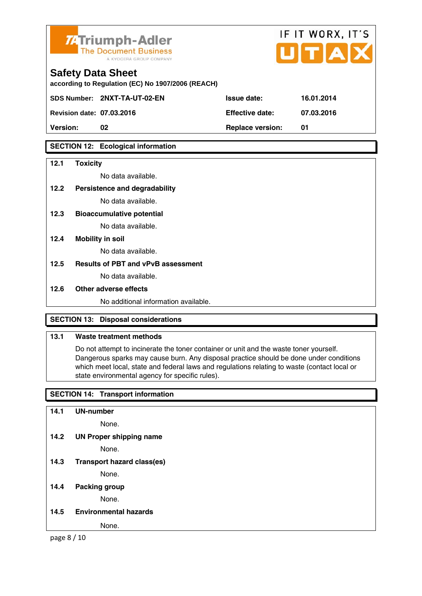

**according to Regulation (EC) No 1907/2006 (REACH)** 

**SDS Number: 2NXT-TA-UT-02-EN Issue date: 16.01.2014** 

**Revision date: 07.03.2016 Effective date: 07.03.2016** 

**Version:** 02 **Replace version:** 01

# **SECTION 12: Ecological information**

# **12.1 Toxicity**

No data available.

- **12.2 Persistence and degradability** No data available.
- **12.3 Bioaccumulative potential**

No data available.

**12.4 Mobility in soil** 

No data available.

**12.5 Results of PBT and vPvB assessment** 

No data available.

# **12.6 Other adverse effects**

No additional information available.

# **SECTION 13: Disposal considerations**

# **13.1 Waste treatment methods**

 Do not attempt to incinerate the toner container or unit and the waste toner yourself. Dangerous sparks may cause burn. Any disposal practice should be done under conditions which meet local, state and federal laws and regulations relating to waste (contact local or state environmental agency for specific rules).

IF IT WORX, IT'S

# **SECTION 14: Transport information**

| 14.1 | <b>UN-number</b>                  |
|------|-----------------------------------|
|      | None.                             |
| 14.2 | <b>UN Proper shipping name</b>    |
|      | None.                             |
| 14.3 | <b>Transport hazard class(es)</b> |
|      | None.                             |
| 14.4 | <b>Packing group</b>              |
|      | None.                             |
| 14.5 | <b>Environmental hazards</b>      |
|      | None.                             |

page 8 / 10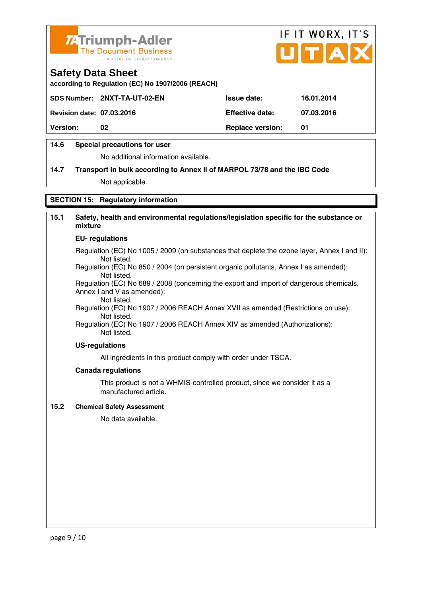



**according to Regulation (EC) No 1907/2006 (REACH)** 

|                                  | SDS Number: 2NXT-TA-UT-02-EN | <b>Issue date:</b>      | 16.01.2014 |
|----------------------------------|------------------------------|-------------------------|------------|
| <b>Revision date: 07.03.2016</b> |                              | <b>Effective date:</b>  | 07.03.2016 |
| <b>Version:</b>                  | 02                           | <b>Replace version:</b> | 01         |

# **14.6 Special precautions for user**

No additional information available.

# **14.7 Transport in bulk according to Annex II of MARPOL 73/78 and the IBC Code**

Not applicable.

# **SECTION 15: Regulatory information**

# **15.1 Safety, health and environmental regulations/legislation specific for the substance or mixture**

## **EU- regulations**

Regulation (EC) No 1005 / 2009 (on substances that deplete the ozone layer, Annex I and II): Not listed.

 Regulation (EC) No 850 / 2004 (on persistent organic pollutants, Annex I as amended): Not listed.

 Regulation (EC) No 689 / 2008 (concerning the export and import of dangerous chemicals, Annex I and V as amended):

Not listed.

 Regulation (EC) No 1907 / 2006 REACH Annex XVII as amended (Restrictions on use): Not listed.

Regulation (EC) No 1907 / 2006 REACH Annex XIV as amended (Authorizations): Not listed.

### **US-regulations**

All ingredients in this product comply with order under TSCA.

### **Canada regulations**

 This product is not a WHMIS-controlled product, since we consider it as a manufactured article.

## **15.2 Chemical Safety Assessment**

No data available.